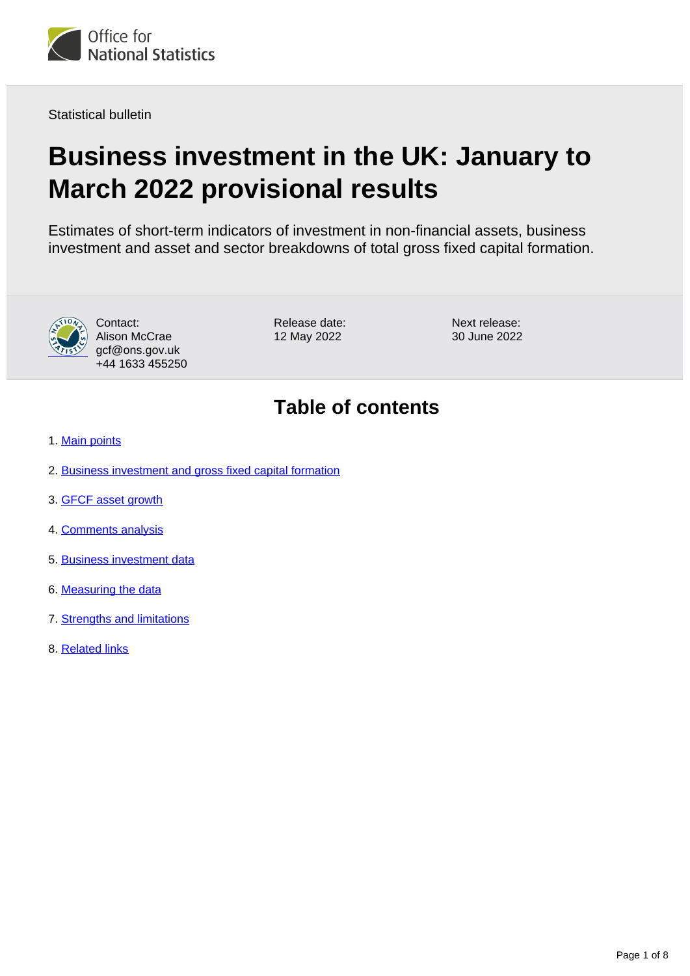

Statistical bulletin

# **Business investment in the UK: January to March 2022 provisional results**

Estimates of short-term indicators of investment in non-financial assets, business investment and asset and sector breakdowns of total gross fixed capital formation.



Contact: Alison McCrae gcf@ons.gov.uk +44 1633 455250 Release date: 12 May 2022

Next release: 30 June 2022

## **Table of contents**

- 1. [Main points](#page-1-0)
- 2. [Business investment and gross fixed capital formation](#page-1-1)
- 3. [GFCF asset growth](#page-2-0)
- 4. [Comments analysis](#page-5-0)
- 5. [Business investment data](#page-6-0)
- 6. [Measuring the data](#page-6-1)
- 7. [Strengths and limitations](#page-6-2)
- 8. [Related links](#page-7-0)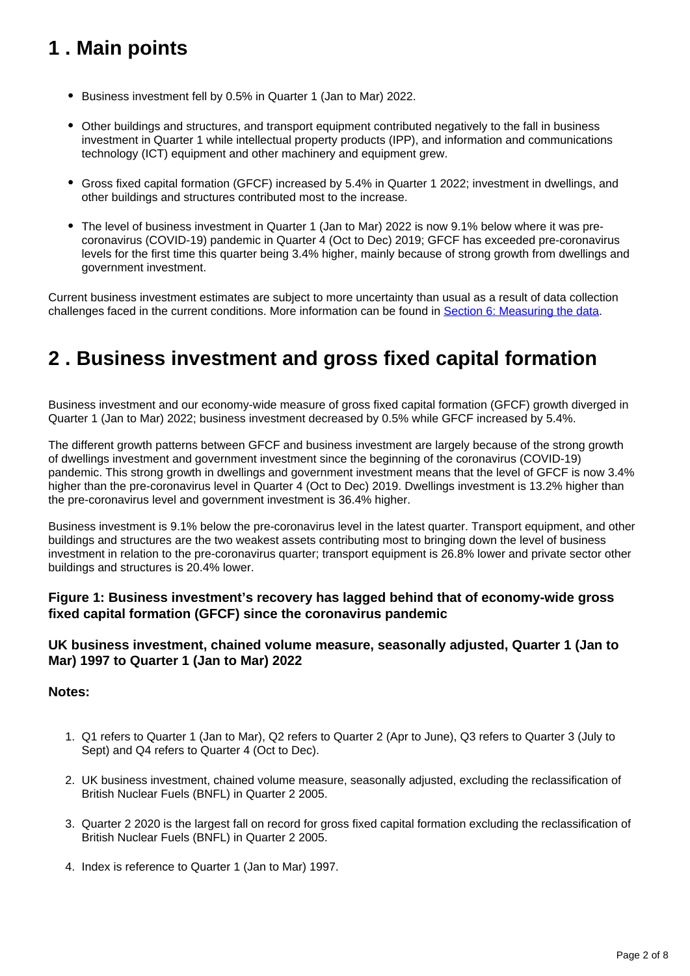## <span id="page-1-0"></span>**1 . Main points**

- Business investment fell by 0.5% in Quarter 1 (Jan to Mar) 2022.
- Other buildings and structures, and transport equipment contributed negatively to the fall in business investment in Quarter 1 while intellectual property products (IPP), and information and communications technology (ICT) equipment and other machinery and equipment grew.
- Gross fixed capital formation (GFCF) increased by 5.4% in Quarter 1 2022; investment in dwellings, and other buildings and structures contributed most to the increase.
- The level of business investment in Quarter 1 (Jan to Mar) 2022 is now 9.1% below where it was precoronavirus (COVID-19) pandemic in Quarter 4 (Oct to Dec) 2019; GFCF has exceeded pre-coronavirus levels for the first time this quarter being 3.4% higher, mainly because of strong growth from dwellings and government investment.

Current business investment estimates are subject to more uncertainty than usual as a result of data collection challenges faced in the current conditions. More information can be found in [Section 6: Measuring the data.](https://www.ons.gov.uk/economy/grossdomesticproductgdp/bulletins/businessinvestment/januarytomarch2022provisionalresults#measuring-the-data)

## <span id="page-1-1"></span>**2 . Business investment and gross fixed capital formation**

Business investment and our economy-wide measure of gross fixed capital formation (GFCF) growth diverged in Quarter 1 (Jan to Mar) 2022; business investment decreased by 0.5% while GFCF increased by 5.4%.

The different growth patterns between GFCF and business investment are largely because of the strong growth of dwellings investment and government investment since the beginning of the coronavirus (COVID-19) pandemic. This strong growth in dwellings and government investment means that the level of GFCF is now 3.4% higher than the pre-coronavirus level in Quarter 4 (Oct to Dec) 2019. Dwellings investment is 13.2% higher than the pre-coronavirus level and government investment is 36.4% higher.

Business investment is 9.1% below the pre-coronavirus level in the latest quarter. Transport equipment, and other buildings and structures are the two weakest assets contributing most to bringing down the level of business investment in relation to the pre-coronavirus quarter; transport equipment is 26.8% lower and private sector other buildings and structures is 20.4% lower.

### **Figure 1: Business investment's recovery has lagged behind that of economy-wide gross fixed capital formation (GFCF) since the coronavirus pandemic**

### **UK business investment, chained volume measure, seasonally adjusted, Quarter 1 (Jan to Mar) 1997 to Quarter 1 (Jan to Mar) 2022**

### **Notes:**

- 1. Q1 refers to Quarter 1 (Jan to Mar), Q2 refers to Quarter 2 (Apr to June), Q3 refers to Quarter 3 (July to Sept) and Q4 refers to Quarter 4 (Oct to Dec).
- 2. UK business investment, chained volume measure, seasonally adjusted, excluding the reclassification of British Nuclear Fuels (BNFL) in Quarter 2 2005.
- 3. Quarter 2 2020 is the largest fall on record for gross fixed capital formation excluding the reclassification of British Nuclear Fuels (BNFL) in Quarter 2 2005.
- 4. Index is reference to Quarter 1 (Jan to Mar) 1997.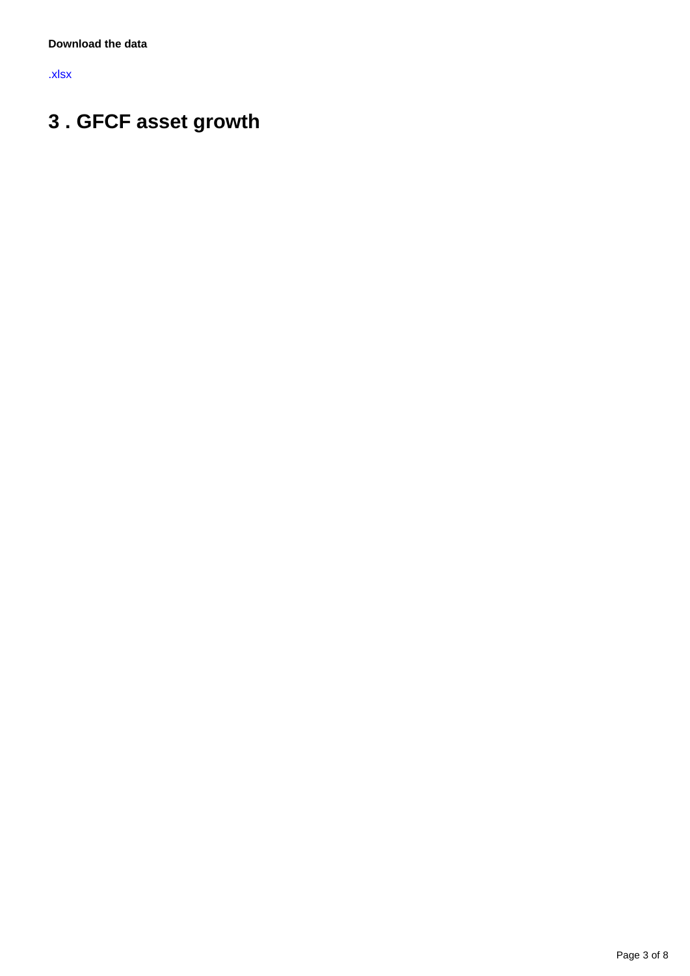[.xlsx](https://www.ons.gov.uk/visualisations/dvc1962/line/datadownload.xlsx)

# <span id="page-2-0"></span>**3 . GFCF asset growth**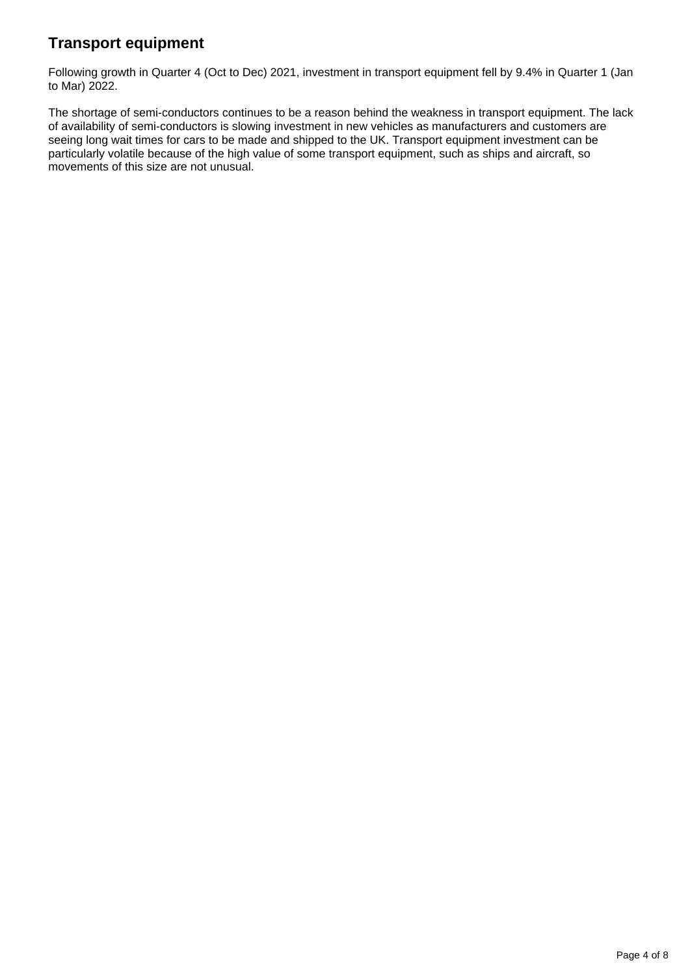### **Transport equipment**

Following growth in Quarter 4 (Oct to Dec) 2021, investment in transport equipment fell by 9.4% in Quarter 1 (Jan to Mar) 2022.

The shortage of semi-conductors continues to be a reason behind the weakness in transport equipment. The lack of availability of semi-conductors is slowing investment in new vehicles as manufacturers and customers are seeing long wait times for cars to be made and shipped to the UK. Transport equipment investment can be particularly volatile because of the high value of some transport equipment, such as ships and aircraft, so movements of this size are not unusual.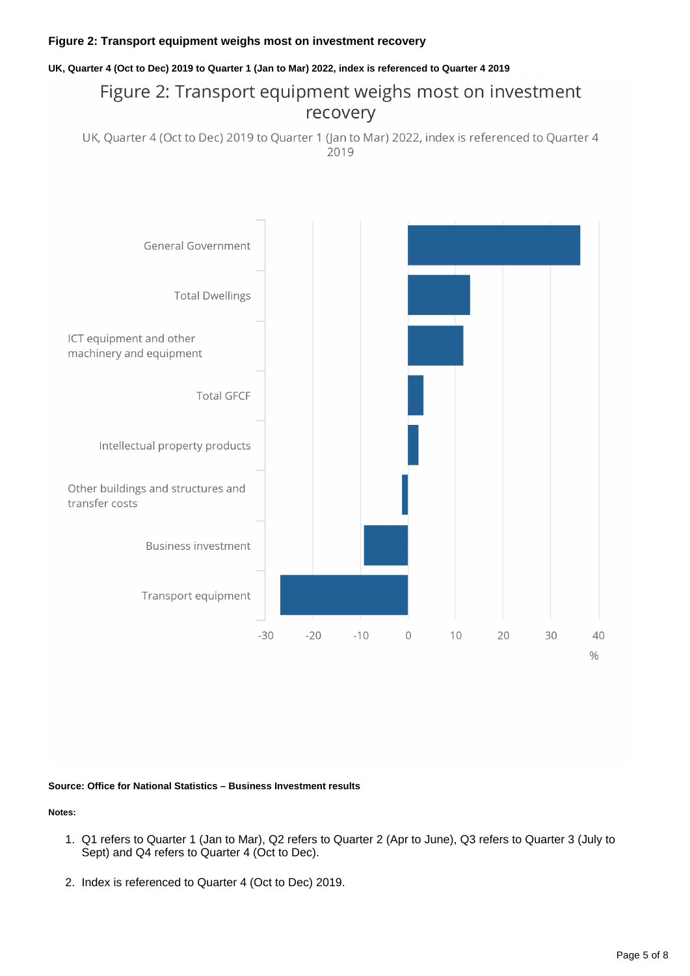#### **Figure 2: Transport equipment weighs most on investment recovery**

#### **UK, Quarter 4 (Oct to Dec) 2019 to Quarter 1 (Jan to Mar) 2022, index is referenced to Quarter 4 2019**

## Figure 2: Transport equipment weighs most on investment recovery

UK, Quarter 4 (Oct to Dec) 2019 to Quarter 1 (Jan to Mar) 2022, index is referenced to Quarter 4 2019



#### **Source: Office for National Statistics – Business Investment results**

**Notes:**

- 1. Q1 refers to Quarter 1 (Jan to Mar), Q2 refers to Quarter 2 (Apr to June), Q3 refers to Quarter 3 (July to Sept) and Q4 refers to Quarter 4 (Oct to Dec).
- 2. Index is referenced to Quarter 4 (Oct to Dec) 2019.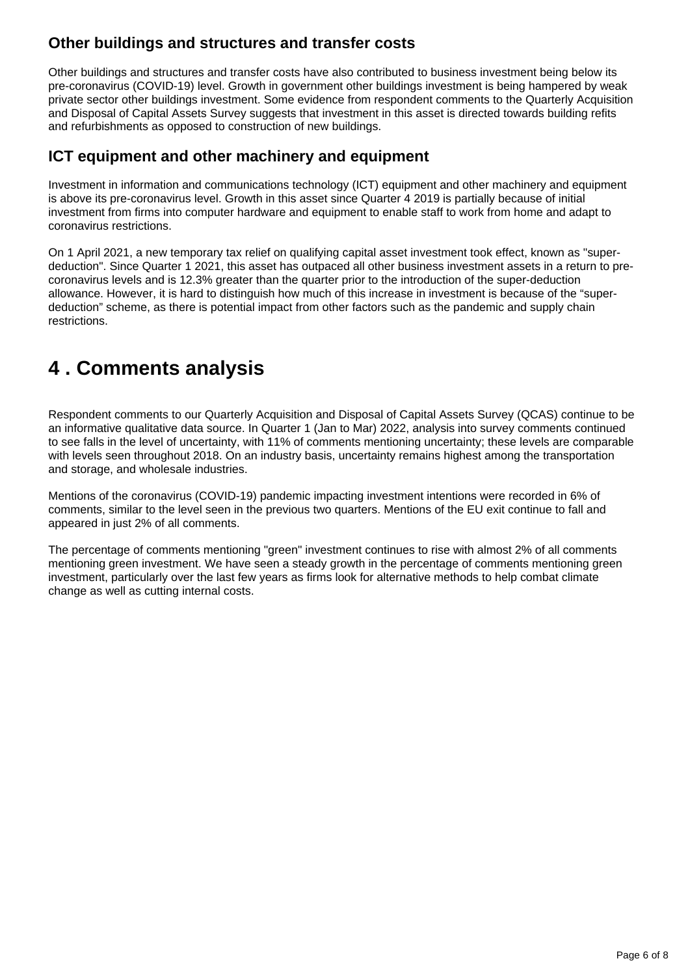### **Other buildings and structures and transfer costs**

Other buildings and structures and transfer costs have also contributed to business investment being below its pre-coronavirus (COVID-19) level. Growth in government other buildings investment is being hampered by weak private sector other buildings investment. Some evidence from respondent comments to the Quarterly Acquisition and Disposal of Capital Assets Survey suggests that investment in this asset is directed towards building refits and refurbishments as opposed to construction of new buildings.

### **ICT equipment and other machinery and equipment**

Investment in information and communications technology (ICT) equipment and other machinery and equipment is above its pre-coronavirus level. Growth in this asset since Quarter 4 2019 is partially because of initial investment from firms into computer hardware and equipment to enable staff to work from home and adapt to coronavirus restrictions.

On 1 April 2021, a new temporary tax relief on qualifying capital asset investment took effect, known as "superdeduction". Since Quarter 1 2021, this asset has outpaced all other business investment assets in a return to precoronavirus levels and is 12.3% greater than the quarter prior to the introduction of the super-deduction allowance. However, it is hard to distinguish how much of this increase in investment is because of the "superdeduction" scheme, as there is potential impact from other factors such as the pandemic and supply chain restrictions.

## <span id="page-5-0"></span>**4 . Comments analysis**

Respondent comments to our Quarterly Acquisition and Disposal of Capital Assets Survey (QCAS) continue to be an informative qualitative data source. In Quarter 1 (Jan to Mar) 2022, analysis into survey comments continued to see falls in the level of uncertainty, with 11% of comments mentioning uncertainty; these levels are comparable with levels seen throughout 2018. On an industry basis, uncertainty remains highest among the transportation and storage, and wholesale industries.

Mentions of the coronavirus (COVID-19) pandemic impacting investment intentions were recorded in 6% of comments, similar to the level seen in the previous two quarters. Mentions of the EU exit continue to fall and appeared in just 2% of all comments.

The percentage of comments mentioning "green" investment continues to rise with almost 2% of all comments mentioning green investment. We have seen a steady growth in the percentage of comments mentioning green investment, particularly over the last few years as firms look for alternative methods to help combat climate change as well as cutting internal costs.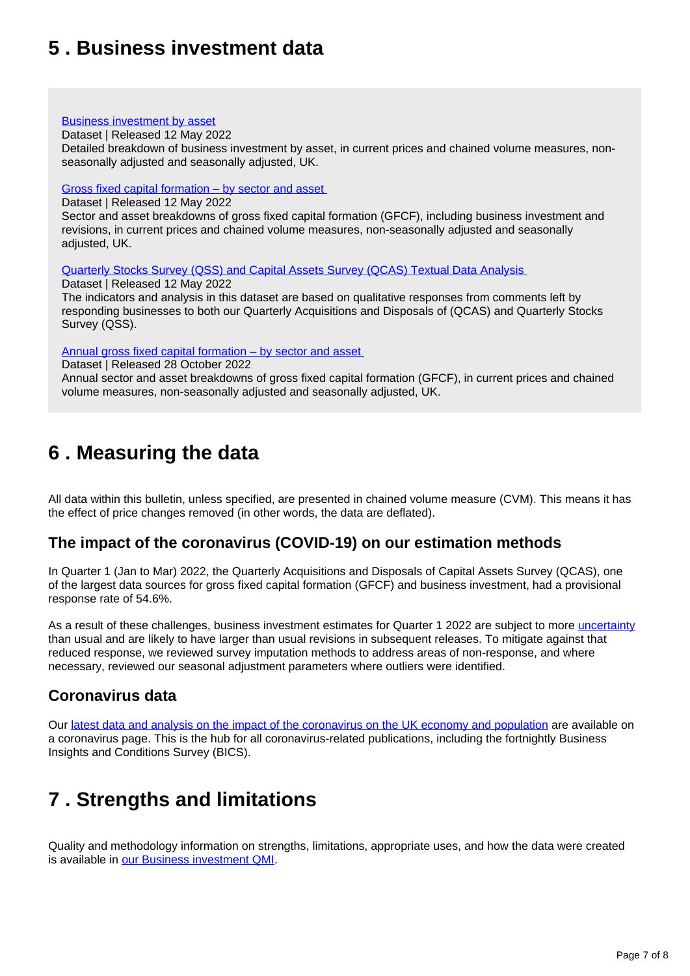## <span id="page-6-0"></span>**5 . Business investment data**

#### [Business investment by asset](https://www.ons.gov.uk/economy/grossdomesticproductgdp/datasets/businessinvestmentbyasset)

Dataset | Released 12 May 2022

Detailed breakdown of business investment by asset, in current prices and chained volume measures, nonseasonally adjusted and seasonally adjusted, UK.

#### [Gross fixed capital formation – by sector and asset](https://www.ons.gov.uk/economy/grossdomesticproductgdp/datasets/grossfixedcapitalformationbysectorandasset)

Dataset | Released 12 May 2022

Sector and asset breakdowns of gross fixed capital formation (GFCF), including business investment and revisions, in current prices and chained volume measures, non-seasonally adjusted and seasonally adjusted, UK.

[Quarterly Stocks Survey \(QSS\) and Capital Assets Survey \(QCAS\) Textual Data Analysis](https://www.ons.gov.uk/economy/grossdomesticproductgdp/datasets/quarterlystockssurveyqssandcapitalassetssurveyqcastextualdataanalysis) 

Dataset | Released 12 May 2022

The indicators and analysis in this dataset are based on qualitative responses from comments left by responding businesses to both our Quarterly Acquisitions and Disposals of (QCAS) and Quarterly Stocks Survey (QSS).

Annual gross fixed capital formation - by sector and asset

Dataset | Released 28 October 2022

Annual sector and asset breakdowns of gross fixed capital formation (GFCF), in current prices and chained volume measures, non-seasonally adjusted and seasonally adjusted, UK.

## <span id="page-6-1"></span>**6 . Measuring the data**

All data within this bulletin, unless specified, are presented in chained volume measure (CVM). This means it has the effect of price changes removed (in other words, the data are deflated).

### **The impact of the coronavirus (COVID-19) on our estimation methods**

In Quarter 1 (Jan to Mar) 2022, the Quarterly Acquisitions and Disposals of Capital Assets Survey (QCAS), one of the largest data sources for gross fixed capital formation (GFCF) and business investment, had a provisional response rate of 54.6%.

As a result of these challenges, business investment estimates for Quarter 1 2022 are subject to more [uncertainty](https://www.ons.gov.uk/methodology/methodologytopicsandstatisticalconcepts/uncertaintyandhowwemeasureit#what-is-uncertainty) than usual and are likely to have larger than usual revisions in subsequent releases. To mitigate against that reduced response, we reviewed survey imputation methods to address areas of non-response, and where necessary, reviewed our seasonal adjustment parameters where outliers were identified.

### **Coronavirus data**

Our [latest data and analysis on the impact of the coronavirus on the UK economy and population](https://www.ons.gov.uk/peoplepopulationandcommunity/healthandsocialcare/conditionsanddiseases) are available on a coronavirus page. This is the hub for all coronavirus-related publications, including the fortnightly Business Insights and Conditions Survey (BICS).

## <span id="page-6-2"></span>**7 . Strengths and limitations**

Quality and methodology information on strengths, limitations, appropriate uses, and how the data were created is available in [our Business investment QMI.](https://www.ons.gov.uk/economy/investmentspensionsandtrusts/methodologies/businessinvestmentqmi)